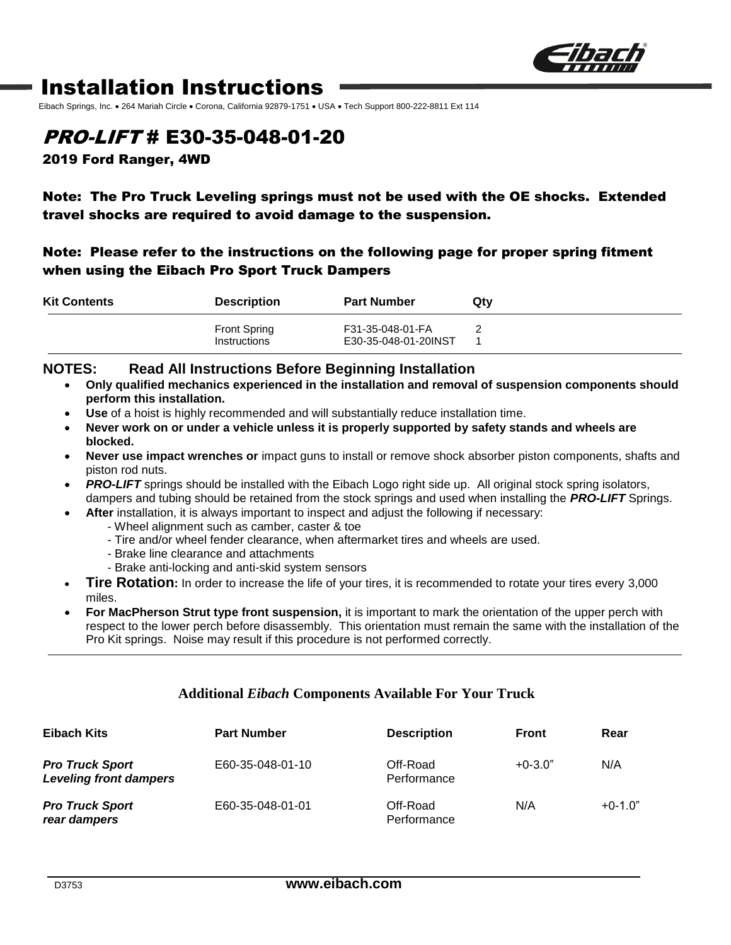

# Installation Instructions

Eibach Springs, Inc. • 264 Mariah Circle • Corona, California 92879-1751 • USA • Tech Support 800-222-8811 Ext 114

## PRO-LIFT # E30-35-048-01-20

2019 Ford Ranger, 4WD

### Note: The Pro Truck Leveling springs must not be used with the OE shocks. Extended travel shocks are required to avoid damage to the suspension.

#### Note: Please refer to the instructions on the following page for proper spring fitment when using the Eibach Pro Sport Truck Dampers

| <b>Kit Contents</b> | <b>Description</b>                  | <b>Part Number</b>                       | Qtv |
|---------------------|-------------------------------------|------------------------------------------|-----|
|                     | <b>Front Spring</b><br>Instructions | F31-35-048-01-FA<br>E30-35-048-01-20INST |     |

#### **NOTES: Read All Instructions Before Beginning Installation**

- **Only qualified mechanics experienced in the installation and removal of suspension components should perform this installation.**
- **Use** of a hoist is highly recommended and will substantially reduce installation time.
- **Never work on or under a vehicle unless it is properly supported by safety stands and wheels are blocked.**
- **Never use impact wrenches or** impact guns to install or remove shock absorber piston components, shafts and piston rod nuts.
- **PRO-LIFT** springs should be installed with the Eibach Logo right side up. All original stock spring isolators, dampers and tubing should be retained from the stock springs and used when installing the *PRO-LIFT* Springs.
	- **After** installation, it is always important to inspect and adjust the following if necessary:
		- Wheel alignment such as camber, caster & toe
		- Tire and/or wheel fender clearance, when aftermarket tires and wheels are used.
		- Brake line clearance and attachments
		- Brake anti-locking and anti-skid system sensors
- **Tire Rotation:** In order to increase the life of your tires, it is recommended to rotate your tires every 3,000 miles.
- **For MacPherson Strut type front suspension,** it is important to mark the orientation of the upper perch with respect to the lower perch before disassembly. This orientation must remain the same with the installation of the Pro Kit springs. Noise may result if this procedure is not performed correctly.

#### **Additional** *Eibach* **Components Available For Your Truck**

| Eibach Kits                                             | <b>Part Number</b> | <b>Description</b>      | <b>Front</b> | Rear      |
|---------------------------------------------------------|--------------------|-------------------------|--------------|-----------|
| <b>Pro Truck Sport</b><br><b>Leveling front dampers</b> | E60-35-048-01-10   | Off-Road<br>Performance | $+0-3.0"$    | N/A       |
| <b>Pro Truck Sport</b><br>rear dampers                  | E60-35-048-01-01   | Off-Road<br>Performance | N/A          | $+0-1.0"$ |